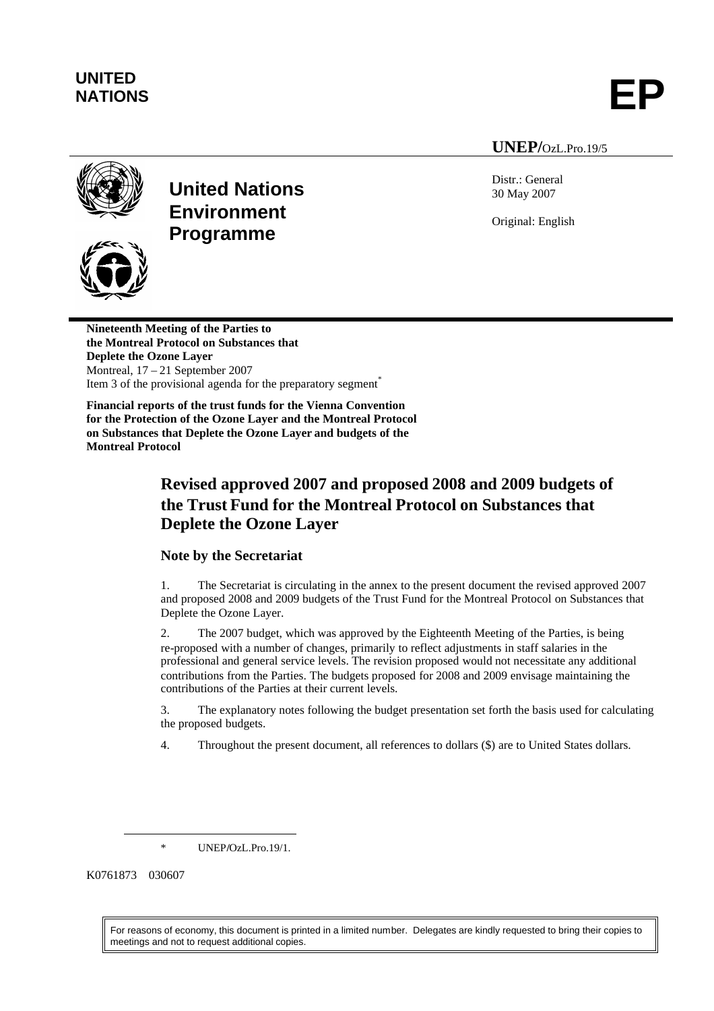# **UNITED**

UNITED<br>NATIONS **EP** 

### **UNEP/**OzL.Pro.19/5



**United Nations Environment Programme**



**Nineteenth Meeting of the Parties to the Montreal Protocol on Substances that Deplete the Ozone Layer** Montreal, 17 – 21 September 2007 Item 3 of the provisional agenda for the preparatory segment $\hat{ }$ 

**Financial reports of the trust funds for the Vienna Convention for the Protection of the Ozone Layer and the Montreal Protocol on Substances that Deplete the Ozone Layer and budgets of the Montreal Protocol**

# **Revised approved 2007 and proposed 2008 and 2009 budgets of the Trust Fund for the Montreal Protocol on Substances that Deplete the Ozone Layer**

### **Note by the Secretariat**

1. The Secretariat is circulating in the annex to the present document the revised approved 2007 and proposed 2008 and 2009 budgets of the Trust Fund for the Montreal Protocol on Substances that Deplete the Ozone Layer.

2. The 2007 budget, which was approved by the Eighteenth Meeting of the Parties, is being re-proposed with a number of changes, primarily to reflect adjustments in staff salaries in the professional and general service levels. The revision proposed would not necessitate any additional contributions from the Parties. The budgets proposed for 2008 and 2009 envisage maintaining the contributions of the Parties at their current levels.

3. The explanatory notes following the budget presentation set forth the basis used for calculating the proposed budgets.

4. Throughout the present document, all references to dollars (\$) are to United States dollars.

\* UNEP**/**OzL.Pro.19/1.

K0761873 030607

For reasons of economy, this document is printed in a limited number. Delegates are kindly requested to bring their copies to meetings and not to request additional copies.

Distr.: General 30 May 2007

Original: English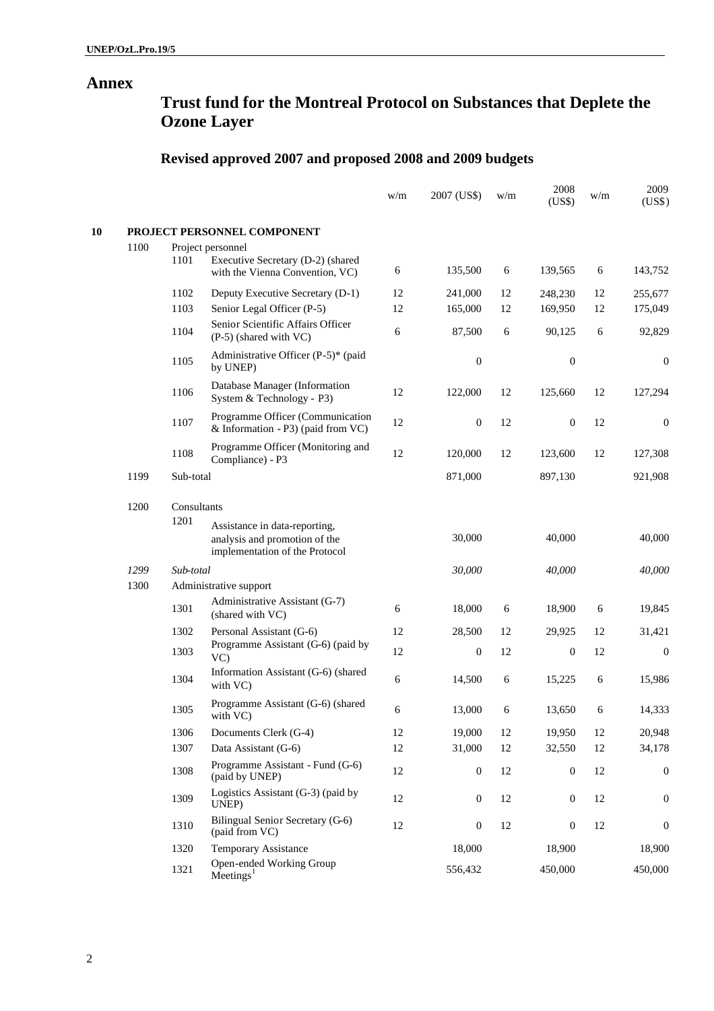## **Annex**

# **Trust fund for the Montreal Protocol on Substances that Deplete the Ozone Layer**

# **Revised approved 2007 and proposed 2008 and 2009 budgets**

|    |      |             |                                                                                                  | w/m    | 2007 (US\$)      | w/m | 2008<br>(US\$)   | w/m    | 2009<br>(US\$)   |
|----|------|-------------|--------------------------------------------------------------------------------------------------|--------|------------------|-----|------------------|--------|------------------|
| 10 |      |             | PROJECT PERSONNEL COMPONENT                                                                      |        |                  |     |                  |        |                  |
|    | 1100 |             | Project personnel                                                                                |        |                  |     |                  |        |                  |
|    |      | 1101        | Executive Secretary (D-2) (shared<br>with the Vienna Convention, VC)                             | 6      | 135,500          | 6   | 139,565          | 6      | 143,752          |
|    |      | 1102        | Deputy Executive Secretary (D-1)                                                                 | 12     | 241,000          | 12  | 248,230          | 12     | 255,677          |
|    |      | 1103        | Senior Legal Officer (P-5)                                                                       | 12     | 165,000          | 12  | 169,950          | 12     | 175,049          |
|    |      | 1104        | Senior Scientific Affairs Officer<br>$(P-5)$ (shared with VC)                                    | 6      | 87,500           | 6   | 90,125           | 6      | 92,829           |
|    |      | 1105        | Administrative Officer (P-5)* (paid<br>by UNEP)                                                  |        | $\boldsymbol{0}$ |     | $\boldsymbol{0}$ |        | $\mathbf{0}$     |
|    |      | 1106        | Database Manager (Information<br>System & Technology - P3)                                       | 12     | 122,000          | 12  | 125,660          | 12     | 127,294          |
|    |      | 1107        | Programme Officer (Communication<br>& Information - P3) (paid from VC)                           | 12     | $\boldsymbol{0}$ | 12  | $\mathbf{0}$     | 12     | $\boldsymbol{0}$ |
|    |      | 1108        | Programme Officer (Monitoring and<br>Compliance) - P3                                            | 12     | 120,000          | 12  | 123,600          | 12     | 127,308          |
|    | 1199 | Sub-total   |                                                                                                  |        | 871,000          |     | 897,130          |        | 921,908          |
|    | 1200 | Consultants |                                                                                                  |        |                  |     |                  |        |                  |
|    |      | 1201        | Assistance in data-reporting,<br>analysis and promotion of the<br>implementation of the Protocol |        | 30,000           |     | 40,000           |        | 40,000           |
|    | 1299 |             | Sub-total                                                                                        |        | 30,000           |     | 40,000           |        | 40,000           |
|    | 1300 |             | Administrative support                                                                           |        |                  |     |                  |        |                  |
|    |      | 1301        | Administrative Assistant (G-7)<br>(shared with VC)                                               | 6      | 18,000           | 6   | 18,900           | 6      | 19,845           |
|    |      | 1302        | Personal Assistant (G-6)                                                                         | 12     | 28,500           | 12  | 29,925           | 12     | 31,421           |
|    |      | 1303        | Programme Assistant (G-6) (paid by<br>$VC$ )                                                     | 12     | $\boldsymbol{0}$ | 12  | $\boldsymbol{0}$ | 12     | $\boldsymbol{0}$ |
|    |      | 1304        | Information Assistant (G-6) (shared<br>with VC)                                                  | 6      | 14,500           | 6   | 15,225           | 6      | 15,986           |
|    |      | 1305        | Programme Assistant (G-6) (shared<br>with VC)                                                    | 6      | 13,000           | 6   | 13,650           | 6      | 14,333           |
|    |      | 1306        | Documents Clerk (G-4)                                                                            | 12     | 19,000           | 12  | 19,950           | $12\,$ | 20,948           |
|    |      | 1307        | Data Assistant (G-6)                                                                             | 12     | 31,000           | 12  | 32,550           | 12     | 34,178           |
|    |      | 1308        | Programme Assistant - Fund (G-6)<br>(paid by UNEP)                                               | 12     | $\boldsymbol{0}$ | 12  | $\boldsymbol{0}$ | 12     | $\boldsymbol{0}$ |
|    |      | 1309        | Logistics Assistant (G-3) (paid by<br>UNEP)                                                      | $12\,$ | $\boldsymbol{0}$ | 12  | $\boldsymbol{0}$ | 12     | $\boldsymbol{0}$ |
|    |      | 1310        | Bilingual Senior Secretary (G-6)<br>(paid from VC)                                               | 12     | $\boldsymbol{0}$ | 12  | $\boldsymbol{0}$ | 12     | $\boldsymbol{0}$ |
|    |      | 1320        | Temporary Assistance                                                                             |        | 18,000           |     | 18,900           |        | 18,900           |
|    |      | 1321        | Open-ended Working Group<br>$M$ eetings <sup>1</sup>                                             |        | 556,432          |     | 450,000          |        | 450,000          |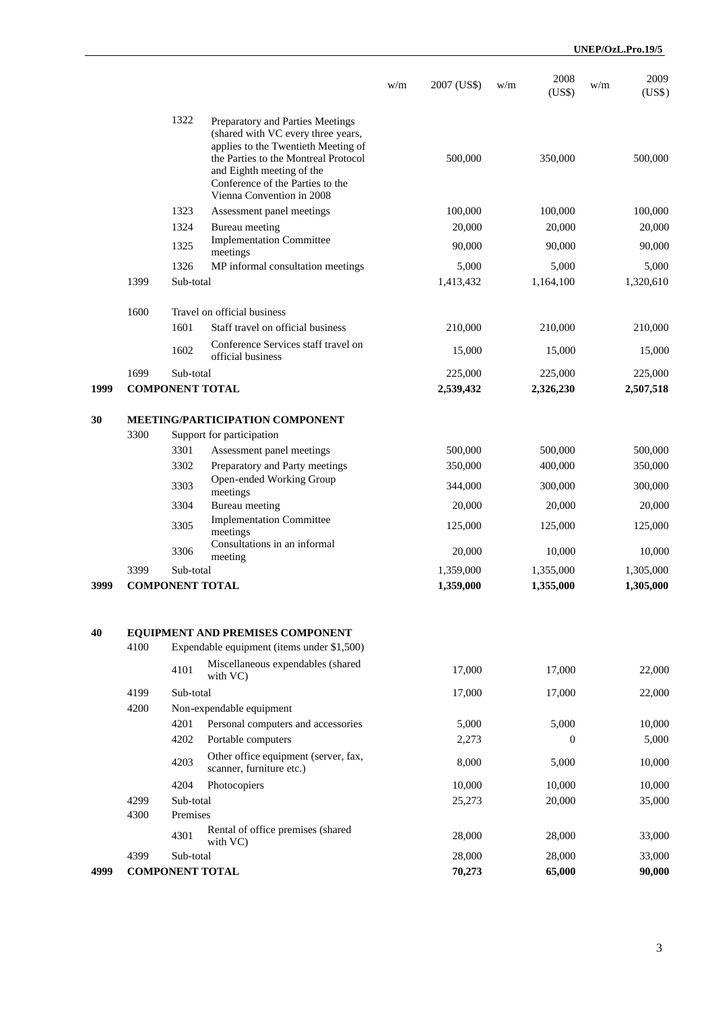|      |                        |                       |                                                                                                                                                                                                                                                     | w/m       | 2007 (US\$)        | w/m       | 2008<br>(US\$)     | w/m       | 2009<br>(US\$)     |
|------|------------------------|-----------------------|-----------------------------------------------------------------------------------------------------------------------------------------------------------------------------------------------------------------------------------------------------|-----------|--------------------|-----------|--------------------|-----------|--------------------|
|      |                        | 1322                  | Preparatory and Parties Meetings<br>(shared with VC every three years,<br>applies to the Twentieth Meeting of<br>the Parties to the Montreal Protocol<br>and Eighth meeting of the<br>Conference of the Parties to the<br>Vienna Convention in 2008 |           | 500,000            |           | 350,000            |           | 500,000            |
|      |                        | 1323                  | Assessment panel meetings                                                                                                                                                                                                                           |           | 100,000            |           | 100,000            |           | 100,000            |
|      |                        | 1324                  | Bureau meeting                                                                                                                                                                                                                                      |           | 20,000             |           | 20,000             |           | 20,000             |
|      |                        | 1325                  | <b>Implementation Committee</b>                                                                                                                                                                                                                     |           | 90,000             |           | 90,000             |           | 90,000             |
|      |                        |                       | meetings                                                                                                                                                                                                                                            |           |                    |           |                    |           |                    |
|      | 1399                   | 1326<br>Sub-total     | MP informal consultation meetings                                                                                                                                                                                                                   |           | 5,000<br>1,413,432 |           | 5,000<br>1,164,100 |           | 5,000<br>1,320,610 |
|      |                        |                       |                                                                                                                                                                                                                                                     |           |                    |           |                    |           |                    |
|      | 1600                   | 1601                  | Travel on official business<br>Staff travel on official business                                                                                                                                                                                    |           | 210,000            |           |                    |           |                    |
|      |                        |                       |                                                                                                                                                                                                                                                     |           |                    |           | 210,000            |           | 210,000            |
|      |                        | 1602                  | Conference Services staff travel on<br>official business                                                                                                                                                                                            |           | 15,000             |           | 15,000             |           | 15,000             |
|      | 1699                   | Sub-total             |                                                                                                                                                                                                                                                     |           | 225,000            |           | 225,000            |           | 225,000            |
| 1999 |                        |                       | <b>COMPONENT TOTAL</b>                                                                                                                                                                                                                              |           | 2,539,432          |           | 2,326,230          |           | 2,507,518          |
| 30   |                        |                       | MEETING/PARTICIPATION COMPONENT                                                                                                                                                                                                                     |           |                    |           |                    |           |                    |
|      | 3300                   |                       | Support for participation                                                                                                                                                                                                                           |           |                    |           |                    |           |                    |
|      |                        | 3301                  | Assessment panel meetings                                                                                                                                                                                                                           |           | 500,000            |           | 500,000            |           | 500,000            |
|      |                        | 3302                  | Preparatory and Party meetings                                                                                                                                                                                                                      |           | 350,000            |           | 400,000            |           | 350,000            |
|      |                        |                       | Open-ended Working Group                                                                                                                                                                                                                            |           |                    |           |                    |           |                    |
|      |                        | 3303                  | meetings                                                                                                                                                                                                                                            |           | 344,000            |           | 300,000            |           | 300,000            |
|      |                        | 3304                  | Bureau meeting                                                                                                                                                                                                                                      |           | 20,000             |           | 20,000             |           | 20,000             |
|      |                        | 3305                  | <b>Implementation Committee</b><br>meetings                                                                                                                                                                                                         |           | 125,000            |           | 125,000            |           | 125,000            |
|      |                        | 3306                  | Consultations in an informal                                                                                                                                                                                                                        |           | 20,000             |           | 10,000             |           | 10,000             |
|      | 3399                   | Sub-total             | meeting                                                                                                                                                                                                                                             |           | 1,359,000          |           | 1,355,000          |           | 1,305,000          |
| 3999 | <b>COMPONENT TOTAL</b> |                       |                                                                                                                                                                                                                                                     | 1,359,000 |                    | 1,355,000 |                    | 1,305,000 |                    |
| 40   | 4100                   |                       | EQUIPMENT AND PREMISES COMPONENT<br>Expendable equipment (items under \$1,500)                                                                                                                                                                      |           |                    |           |                    |           |                    |
|      |                        | 4101                  | Miscellaneous expendables (shared                                                                                                                                                                                                                   |           | 17,000             |           | 17,000             |           | 22,000             |
|      | 4199                   | with VC)<br>Sub-total |                                                                                                                                                                                                                                                     |           | 17,000             |           | 17,000             |           | 22,000             |
|      | 4200                   |                       | Non-expendable equipment                                                                                                                                                                                                                            |           |                    |           |                    |           |                    |
|      |                        | 4201                  | Personal computers and accessories                                                                                                                                                                                                                  |           | 5,000              |           | 5,000              |           | 10,000             |
|      |                        | 4202                  | Portable computers                                                                                                                                                                                                                                  |           | 2,273              |           | $\boldsymbol{0}$   |           | 5,000              |
|      |                        |                       | Other office equipment (server, fax,                                                                                                                                                                                                                |           |                    |           |                    |           |                    |
|      |                        | 4203                  | scanner, furniture etc.)                                                                                                                                                                                                                            |           | 8,000              |           | 5,000              |           | 10,000             |
|      |                        | 4204                  | Photocopiers                                                                                                                                                                                                                                        |           | 10,000             |           | 10,000             |           | 10,000             |
|      | 4299                   | Sub-total             |                                                                                                                                                                                                                                                     |           | 25,273             |           | 20,000             |           | 35,000             |
|      | 4300                   | Premises              |                                                                                                                                                                                                                                                     |           |                    |           |                    |           |                    |
|      |                        | 4301                  | Rental of office premises (shared<br>with VC)                                                                                                                                                                                                       |           | 28,000             |           | 28,000             |           | 33,000             |
|      | 4399                   | Sub-total             |                                                                                                                                                                                                                                                     |           | 28,000             |           | 28,000             |           | 33,000             |
| 4999 |                        |                       | <b>COMPONENT TOTAL</b>                                                                                                                                                                                                                              |           | 70,273             |           | 65,000             |           | 90,000             |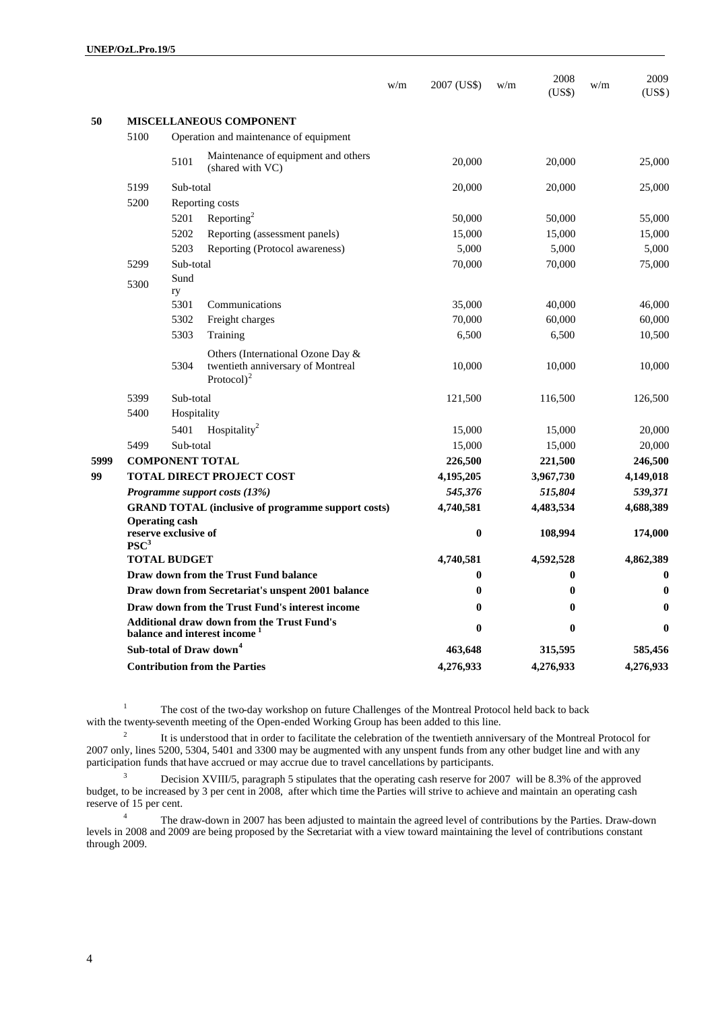|      |                                                                                               |             |                                                                                          | w/m     | 2007 (US\$) | w/m     | 2008<br>(US\$) | w/m     | 2009<br>(US\$) |
|------|-----------------------------------------------------------------------------------------------|-------------|------------------------------------------------------------------------------------------|---------|-------------|---------|----------------|---------|----------------|
| 50   |                                                                                               |             | <b>MISCELLANEOUS COMPONENT</b>                                                           |         |             |         |                |         |                |
|      | 5100                                                                                          |             | Operation and maintenance of equipment                                                   |         |             |         |                |         |                |
|      |                                                                                               | 5101        | Maintenance of equipment and others<br>(shared with VC)                                  |         | 20,000      |         | 20,000         |         | 25,000         |
|      | 5199                                                                                          | Sub-total   |                                                                                          |         | 20,000      |         | 20,000         |         | 25,000         |
|      | 5200<br>Reporting costs                                                                       |             |                                                                                          |         |             |         |                |         |                |
|      |                                                                                               | 5201        | Reporting <sup>2</sup>                                                                   |         | 50,000      |         | 50,000         |         | 55,000         |
|      |                                                                                               | 5202        | Reporting (assessment panels)                                                            |         | 15,000      |         | 15,000         |         | 15,000         |
|      |                                                                                               | 5203        | Reporting (Protocol awareness)                                                           |         | 5,000       |         | 5,000          |         | 5,000          |
|      | 5299                                                                                          | Sub-total   |                                                                                          |         | 70,000      |         | 70,000         |         | 75,000         |
|      | 5300                                                                                          | Sund<br>ry  |                                                                                          |         |             |         |                |         |                |
|      |                                                                                               | 5301        | Communications                                                                           |         | 35,000      |         | 40,000         |         | 46,000         |
|      |                                                                                               | 5302        | Freight charges                                                                          |         | 70,000      |         | 60,000         |         | 60,000         |
|      |                                                                                               | 5303        | Training                                                                                 |         | 6,500       |         | 6,500          |         | 10,500         |
|      |                                                                                               | 5304        | Others (International Ozone Day &<br>twentieth anniversary of Montreal<br>Protocol $)^2$ |         | 10,000      |         | 10,000         |         | 10,000         |
|      | 5399                                                                                          | Sub-total   |                                                                                          |         | 121,500     |         | 116,500        |         | 126,500        |
|      | 5400                                                                                          | Hospitality |                                                                                          |         |             |         |                |         |                |
|      |                                                                                               | 5401        | Hospitality <sup>2</sup>                                                                 |         | 15,000      |         | 15,000         |         | 20,000         |
|      | 5499<br>Sub-total                                                                             |             |                                                                                          |         | 15,000      |         | 15,000         |         | 20,000         |
| 5999 | <b>COMPONENT TOTAL</b>                                                                        |             |                                                                                          | 226,500 |             | 221,500 |                | 246,500 |                |
| 99   | <b>TOTAL DIRECT PROJECT COST</b>                                                              |             |                                                                                          |         | 4,195,205   |         | 3,967,730      |         | 4,149,018      |
|      | Programme support costs $(13%)$                                                               |             |                                                                                          |         | 545,376     |         | 515,804        |         | 539,371        |
|      | <b>GRAND TOTAL (inclusive of programme support costs)</b>                                     |             |                                                                                          |         | 4,740,581   |         | 4,483,534      |         | 4,688,389      |
|      | <b>Operating cash</b><br>reserve exclusive of<br>$PSC^3$                                      |             |                                                                                          |         | 0           |         | 108,994        |         | 174,000        |
|      | <b>TOTAL BUDGET</b>                                                                           |             |                                                                                          |         | 4,740,581   |         | 4,592,528      |         | 4,862,389      |
|      | Draw down from the Trust Fund balance                                                         |             |                                                                                          |         | $\bf{0}$    |         | $\bf{0}$       |         | $\bf{0}$       |
|      | Draw down from Secretariat's unspent 2001 balance                                             |             |                                                                                          |         | 0           |         | $\bf{0}$       |         |                |
|      | Draw down from the Trust Fund's interest income                                               |             |                                                                                          |         | $\bf{0}$    |         | $\bf{0}$       |         | $\bf{0}$       |
|      | <b>Additional draw down from the Trust Fund's</b><br>balance and interest income <sup>1</sup> |             |                                                                                          |         | $\bf{0}$    |         | $\bf{0}$       |         | $\mathbf{0}$   |
|      | Sub-total of Draw down <sup>4</sup>                                                           |             |                                                                                          |         | 463,648     |         | 315,595        |         | 585,456        |
|      | <b>Contribution from the Parties</b>                                                          |             |                                                                                          |         | 4,276,933   |         | 4,276,933      |         | 4,276,933      |

<sup>1</sup> The cost of the two-day workshop on future Challenges of the Montreal Protocol held back to back with the twenty-seventh meeting of the Open-ended Working Group has been added to this line.

2 It is understood that in order to facilitate the celebration of the twentieth anniversary of the Montreal Protocol for 2007 only, lines 5200, 5304, 5401 and 3300 may be augmented with any unspent funds from any other budget line and with any participation funds that have accrued or may accrue due to travel cancellations by participants.

<sup>3</sup> Decision XVIII/5, paragraph 5 stipulates that the operating cash reserve for 2007 will be 8.3% of the approved budget, to be increased by 3 per cent in 2008, after which time the Parties will strive to achieve and maintain an operating cash reserve of 15 per cent.

<sup>4</sup> The draw-down in 2007 has been adjusted to maintain the agreed level of contributions by the Parties. Draw-down levels in 2008 and 2009 are being proposed by the Secretariat with a view toward maintaining the level of contributions constant through 2009.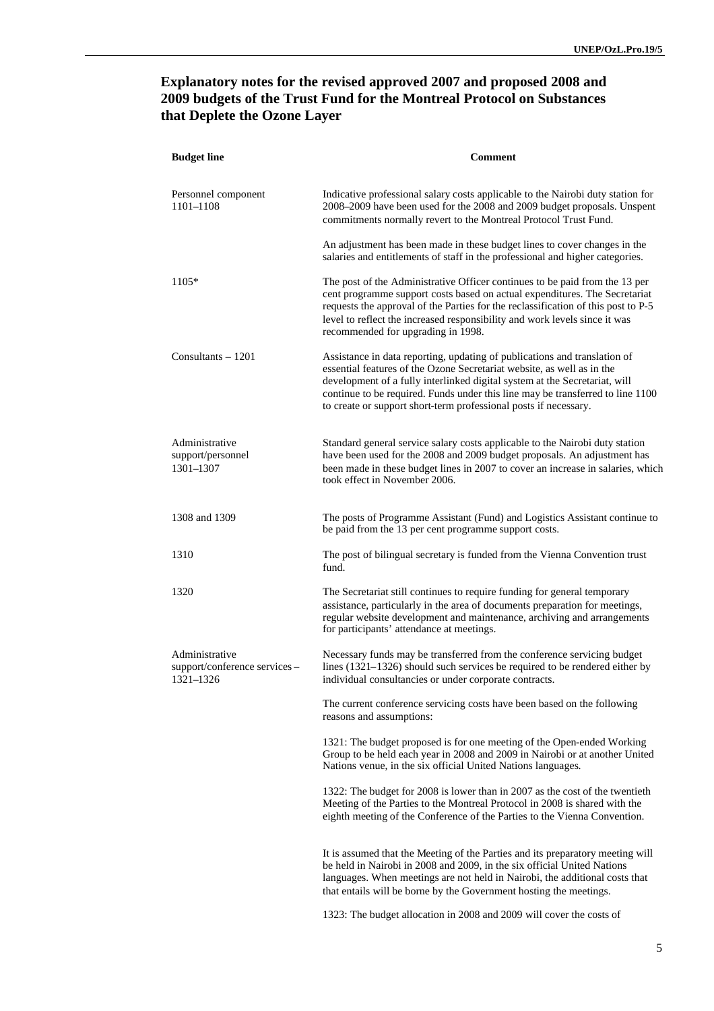### **Explanatory notes for the revised approved 2007 and proposed 2008 and 2009 budgets of the Trust Fund for the Montreal Protocol on Substances that Deplete the Ozone Layer**

| <b>Budget line</b>                                          | <b>Comment</b>                                                                                                                                                                                                                                                                                                                                                                          |
|-------------------------------------------------------------|-----------------------------------------------------------------------------------------------------------------------------------------------------------------------------------------------------------------------------------------------------------------------------------------------------------------------------------------------------------------------------------------|
| Personnel component<br>1101-1108                            | Indicative professional salary costs applicable to the Nairobi duty station for<br>2008-2009 have been used for the 2008 and 2009 budget proposals. Unspent<br>commitments normally revert to the Montreal Protocol Trust Fund.                                                                                                                                                         |
|                                                             | An adjustment has been made in these budget lines to cover changes in the<br>salaries and entitlements of staff in the professional and higher categories.                                                                                                                                                                                                                              |
| $1105*$                                                     | The post of the Administrative Officer continues to be paid from the 13 per<br>cent programme support costs based on actual expenditures. The Secretariat<br>requests the approval of the Parties for the reclassification of this post to P-5<br>level to reflect the increased responsibility and work levels since it was<br>recommended for upgrading in 1998.                      |
| Consultants $-1201$                                         | Assistance in data reporting, updating of publications and translation of<br>essential features of the Ozone Secretariat website, as well as in the<br>development of a fully interlinked digital system at the Secretariat, will<br>continue to be required. Funds under this line may be transferred to line 1100<br>to create or support short-term professional posts if necessary. |
| Administrative<br>support/personnel<br>1301-1307            | Standard general service salary costs applicable to the Nairobi duty station<br>have been used for the 2008 and 2009 budget proposals. An adjustment has<br>been made in these budget lines in 2007 to cover an increase in salaries, which<br>took effect in November 2006.                                                                                                            |
| 1308 and 1309                                               | The posts of Programme Assistant (Fund) and Logistics Assistant continue to<br>be paid from the 13 per cent programme support costs.                                                                                                                                                                                                                                                    |
| 1310                                                        | The post of bilingual secretary is funded from the Vienna Convention trust<br>fund.                                                                                                                                                                                                                                                                                                     |
| 1320                                                        | The Secretariat still continues to require funding for general temporary<br>assistance, particularly in the area of documents preparation for meetings,<br>regular website development and maintenance, archiving and arrangements<br>for participants' attendance at meetings.                                                                                                         |
| Administrative<br>support/conference services-<br>1321-1326 | Necessary funds may be transferred from the conference servicing budget<br>lines (1321–1326) should such services be required to be rendered either by<br>individual consultancies or under corporate contracts.                                                                                                                                                                        |
|                                                             | The current conference servicing costs have been based on the following<br>reasons and assumptions:                                                                                                                                                                                                                                                                                     |
|                                                             | 1321: The budget proposed is for one meeting of the Open-ended Working<br>Group to be held each year in 2008 and 2009 in Nairobi or at another United<br>Nations venue, in the six official United Nations languages.                                                                                                                                                                   |
|                                                             | 1322: The budget for 2008 is lower than in 2007 as the cost of the twentieth<br>Meeting of the Parties to the Montreal Protocol in 2008 is shared with the<br>eighth meeting of the Conference of the Parties to the Vienna Convention.                                                                                                                                                 |
|                                                             | It is assumed that the Meeting of the Parties and its preparatory meeting will<br>be held in Nairobi in 2008 and 2009, in the six official United Nations<br>languages. When meetings are not held in Nairobi, the additional costs that<br>that entails will be borne by the Government hosting the meetings.                                                                          |

1323: The budget allocation in 2008 and 2009 will cover the costs of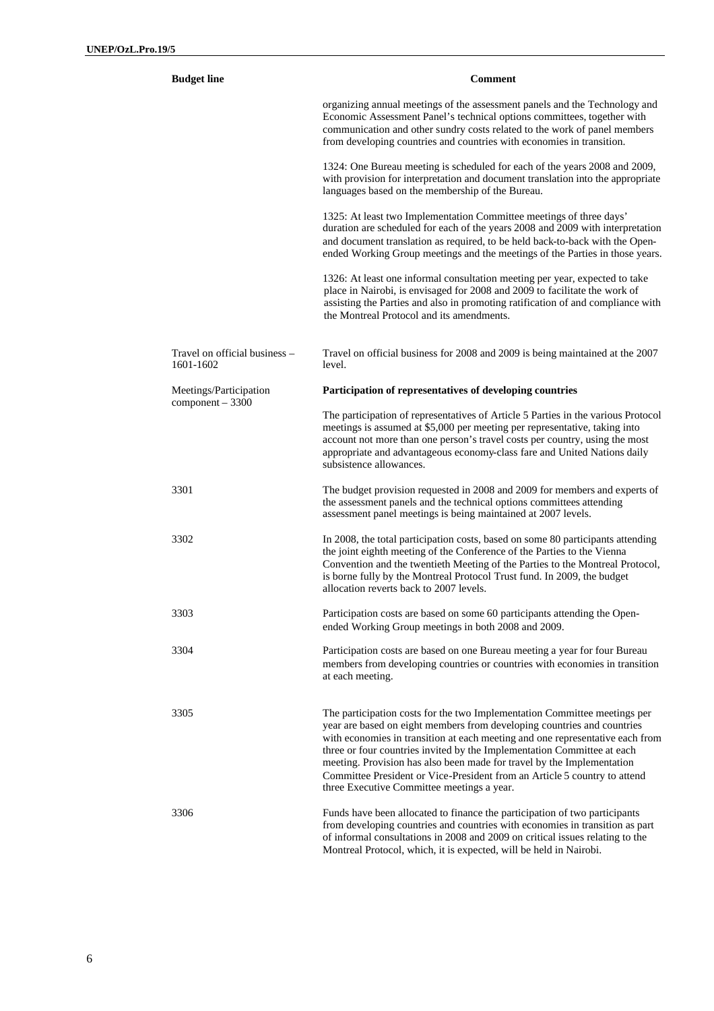| <b>Budget line</b>                         | <b>Comment</b>                                                                                                                                                                                                                                                                                                                                                                                                                                                                                                        |  |  |  |  |
|--------------------------------------------|-----------------------------------------------------------------------------------------------------------------------------------------------------------------------------------------------------------------------------------------------------------------------------------------------------------------------------------------------------------------------------------------------------------------------------------------------------------------------------------------------------------------------|--|--|--|--|
|                                            | organizing annual meetings of the assessment panels and the Technology and<br>Economic Assessment Panel's technical options committees, together with<br>communication and other sundry costs related to the work of panel members<br>from developing countries and countries with economies in transition.                                                                                                                                                                                                           |  |  |  |  |
|                                            | 1324: One Bureau meeting is scheduled for each of the years 2008 and 2009,<br>with provision for interpretation and document translation into the appropriate<br>languages based on the membership of the Bureau.                                                                                                                                                                                                                                                                                                     |  |  |  |  |
|                                            | 1325: At least two Implementation Committee meetings of three days'<br>duration are scheduled for each of the years 2008 and 2009 with interpretation<br>and document translation as required, to be held back-to-back with the Open-<br>ended Working Group meetings and the meetings of the Parties in those years.                                                                                                                                                                                                 |  |  |  |  |
|                                            | 1326: At least one informal consultation meeting per year, expected to take<br>place in Nairobi, is envisaged for 2008 and 2009 to facilitate the work of<br>assisting the Parties and also in promoting ratification of and compliance with<br>the Montreal Protocol and its amendments.                                                                                                                                                                                                                             |  |  |  |  |
| Travel on official business –<br>1601-1602 | Travel on official business for 2008 and 2009 is being maintained at the 2007<br>level.                                                                                                                                                                                                                                                                                                                                                                                                                               |  |  |  |  |
| Meetings/Participation                     | Participation of representatives of developing countries                                                                                                                                                                                                                                                                                                                                                                                                                                                              |  |  |  |  |
| $component - 3300$                         | The participation of representatives of Article 5 Parties in the various Protocol<br>meetings is assumed at \$5,000 per meeting per representative, taking into<br>account not more than one person's travel costs per country, using the most<br>appropriate and advantageous economy-class fare and United Nations daily<br>subsistence allowances.                                                                                                                                                                 |  |  |  |  |
| 3301                                       | The budget provision requested in 2008 and 2009 for members and experts of<br>the assessment panels and the technical options committees attending<br>assessment panel meetings is being maintained at 2007 levels.                                                                                                                                                                                                                                                                                                   |  |  |  |  |
| 3302                                       | In 2008, the total participation costs, based on some 80 participants attending<br>the joint eighth meeting of the Conference of the Parties to the Vienna<br>Convention and the twentieth Meeting of the Parties to the Montreal Protocol,<br>is borne fully by the Montreal Protocol Trust fund. In 2009, the budget<br>allocation reverts back to 2007 levels.                                                                                                                                                     |  |  |  |  |
| 3303                                       | Participation costs are based on some 60 participants attending the Open-<br>ended Working Group meetings in both 2008 and 2009.                                                                                                                                                                                                                                                                                                                                                                                      |  |  |  |  |
| 3304                                       | Participation costs are based on one Bureau meeting a year for four Bureau<br>members from developing countries or countries with economies in transition<br>at each meeting.                                                                                                                                                                                                                                                                                                                                         |  |  |  |  |
| 3305                                       | The participation costs for the two Implementation Committee meetings per<br>year are based on eight members from developing countries and countries<br>with economies in transition at each meeting and one representative each from<br>three or four countries invited by the Implementation Committee at each<br>meeting. Provision has also been made for travel by the Implementation<br>Committee President or Vice-President from an Article 5 country to attend<br>three Executive Committee meetings a year. |  |  |  |  |
| 3306                                       | Funds have been allocated to finance the participation of two participants<br>from developing countries and countries with economies in transition as part<br>of informal consultations in 2008 and 2009 on critical issues relating to the<br>Montreal Protocol, which, it is expected, will be held in Nairobi.                                                                                                                                                                                                     |  |  |  |  |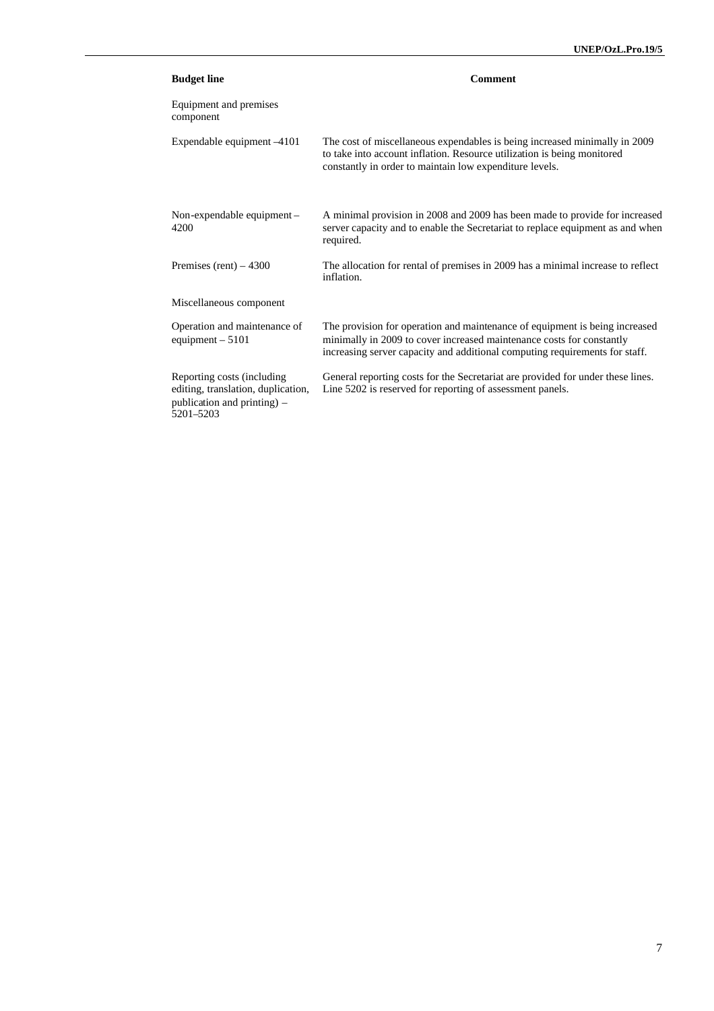| <b>Budget line</b>                                                                                           | <b>Comment</b>                                                                                                                                                                                                                      |
|--------------------------------------------------------------------------------------------------------------|-------------------------------------------------------------------------------------------------------------------------------------------------------------------------------------------------------------------------------------|
| Equipment and premises<br>component                                                                          |                                                                                                                                                                                                                                     |
| Expendable equipment -4101                                                                                   | The cost of miscellaneous expendables is being increased minimally in 2009<br>to take into account inflation. Resource utilization is being monitored<br>constantly in order to maintain low expenditure levels.                    |
| Non-expendable equipment-<br>4200                                                                            | A minimal provision in 2008 and 2009 has been made to provide for increased<br>server capacity and to enable the Secretariat to replace equipment as and when<br>required.                                                          |
| Premises (rent) $-4300$                                                                                      | The allocation for rental of premises in 2009 has a minimal increase to reflect<br>inflation.                                                                                                                                       |
| Miscellaneous component                                                                                      |                                                                                                                                                                                                                                     |
| Operation and maintenance of<br>equipment $-5101$                                                            | The provision for operation and maintenance of equipment is being increased<br>minimally in 2009 to cover increased maintenance costs for constantly<br>increasing server capacity and additional computing requirements for staff. |
| Reporting costs (including<br>editing, translation, duplication,<br>publication and printing) -<br>5201-5203 | General reporting costs for the Secretariat are provided for under these lines.<br>Line 5202 is reserved for reporting of assessment panels.                                                                                        |